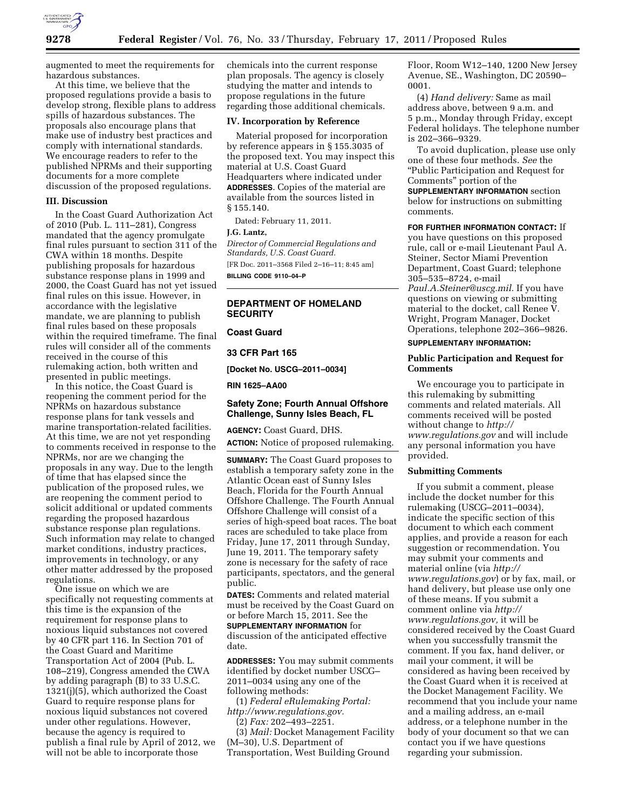

augmented to meet the requirements for hazardous substances.

At this time, we believe that the proposed regulations provide a basis to develop strong, flexible plans to address spills of hazardous substances. The proposals also encourage plans that make use of industry best practices and comply with international standards. We encourage readers to refer to the published NPRMs and their supporting documents for a more complete discussion of the proposed regulations.

## **III. Discussion**

In the Coast Guard Authorization Act of 2010 (Pub. L. 111–281), Congress mandated that the agency promulgate final rules pursuant to section 311 of the CWA within 18 months. Despite publishing proposals for hazardous substance response plans in 1999 and 2000, the Coast Guard has not yet issued final rules on this issue. However, in accordance with the legislative mandate, we are planning to publish final rules based on these proposals within the required timeframe. The final rules will consider all of the comments received in the course of this rulemaking action, both written and presented in public meetings.

In this notice, the Coast Guard is reopening the comment period for the NPRMs on hazardous substance response plans for tank vessels and marine transportation-related facilities. At this time, we are not yet responding to comments received in response to the NPRMs, nor are we changing the proposals in any way. Due to the length of time that has elapsed since the publication of the proposed rules, we are reopening the comment period to solicit additional or updated comments regarding the proposed hazardous substance response plan regulations. Such information may relate to changed market conditions, industry practices, improvements in technology, or any other matter addressed by the proposed regulations.

One issue on which we are specifically not requesting comments at this time is the expansion of the requirement for response plans to noxious liquid substances not covered by 40 CFR part 116. In Section 701 of the Coast Guard and Maritime Transportation Act of 2004 (Pub. L. 108–219), Congress amended the CWA by adding paragraph (B) to 33 U.S.C. 1321(j)(5), which authorized the Coast Guard to require response plans for noxious liquid substances not covered under other regulations. However, because the agency is required to publish a final rule by April of 2012, we will not be able to incorporate those

chemicals into the current response plan proposals. The agency is closely studying the matter and intends to propose regulations in the future regarding those additional chemicals.

# **IV. Incorporation by Reference**

Material proposed for incorporation by reference appears in § 155.3035 of the proposed text. You may inspect this material at U.S. Coast Guard Headquarters where indicated under **ADDRESSES**. Copies of the material are available from the sources listed in § 155.140.

Dated: February 11, 2011.

#### **J.G. Lantz,**

*Director of Commercial Regulations and Standards, U.S. Coast Guard.* 

[FR Doc. 2011–3568 Filed 2–16–11; 8:45 am]

**BILLING CODE 9110–04–P** 

# **DEPARTMENT OF HOMELAND SECURITY**

# **Coast Guard**

**33 CFR Part 165** 

**[Docket No. USCG–2011–0034]** 

**RIN 1625–AA00** 

# **Safety Zone; Fourth Annual Offshore Challenge, Sunny Isles Beach, FL**

**AGENCY:** Coast Guard, DHS. **ACTION:** Notice of proposed rulemaking.

**SUMMARY:** The Coast Guard proposes to establish a temporary safety zone in the Atlantic Ocean east of Sunny Isles Beach, Florida for the Fourth Annual Offshore Challenge. The Fourth Annual Offshore Challenge will consist of a series of high-speed boat races. The boat races are scheduled to take place from Friday, June 17, 2011 through Sunday, June 19, 2011. The temporary safety zone is necessary for the safety of race participants, spectators, and the general public.

**DATES:** Comments and related material must be received by the Coast Guard on or before March 15, 2011. See the **SUPPLEMENTARY INFORMATION** for discussion of the anticipated effective date.

**ADDRESSES:** You may submit comments identified by docket number USCG– 2011–0034 using any one of the following methods:

(1) *Federal eRulemaking Portal: [http://www.regulations.gov.](http://www.regulations.gov)*  (2) *Fax:* 202–493–2251.

(3) *Mail:* Docket Management Facility (M–30), U.S. Department of Transportation, West Building Ground

Floor, Room W12–140, 1200 New Jersey Avenue, SE., Washington, DC 20590– 0001.

(4) *Hand delivery:* Same as mail address above, between 9 a.m. and 5 p.m., Monday through Friday, except Federal holidays. The telephone number is 202–366–9329.

To avoid duplication, please use only one of these four methods. *See* the ''Public Participation and Request for Comments'' portion of the **SUPPLEMENTARY INFORMATION** section

below for instructions on submitting comments.

**FOR FURTHER INFORMATION CONTACT:** If you have questions on this proposed rule, call or e-mail Lieutenant Paul A. Steiner, Sector Miami Prevention Department, Coast Guard; telephone 305–535–8724, e-mail *[Paul.A.Steiner@uscg.mil.](mailto:Paul.A.Steiner@uscg.mil)* If you have questions on viewing or submitting material to the docket, call Renee V. Wright, Program Manager, Docket Operations, telephone 202–366–9826.

# **SUPPLEMENTARY INFORMATION:**

# **Public Participation and Request for Comments**

We encourage you to participate in this rulemaking by submitting comments and related materials. All comments received will be posted without change to *[http://](http://www.regulations.gov) [www.regulations.gov](http://www.regulations.gov)* and will include any personal information you have provided.

### **Submitting Comments**

If you submit a comment, please include the docket number for this rulemaking (USCG–2011–0034), indicate the specific section of this document to which each comment applies, and provide a reason for each suggestion or recommendation. You may submit your comments and material online (via *[http://](http://www.regulations.gov)  [www.regulations.gov](http://www.regulations.gov)*) or by fax, mail, or hand delivery, but please use only one of these means. If you submit a comment online via *[http://](http://www.regulations.gov) [www.regulations.gov,](http://www.regulations.gov)* it will be considered received by the Coast Guard when you successfully transmit the comment. If you fax, hand deliver, or mail your comment, it will be considered as having been received by the Coast Guard when it is received at the Docket Management Facility. We recommend that you include your name and a mailing address, an e-mail address, or a telephone number in the body of your document so that we can contact you if we have questions regarding your submission.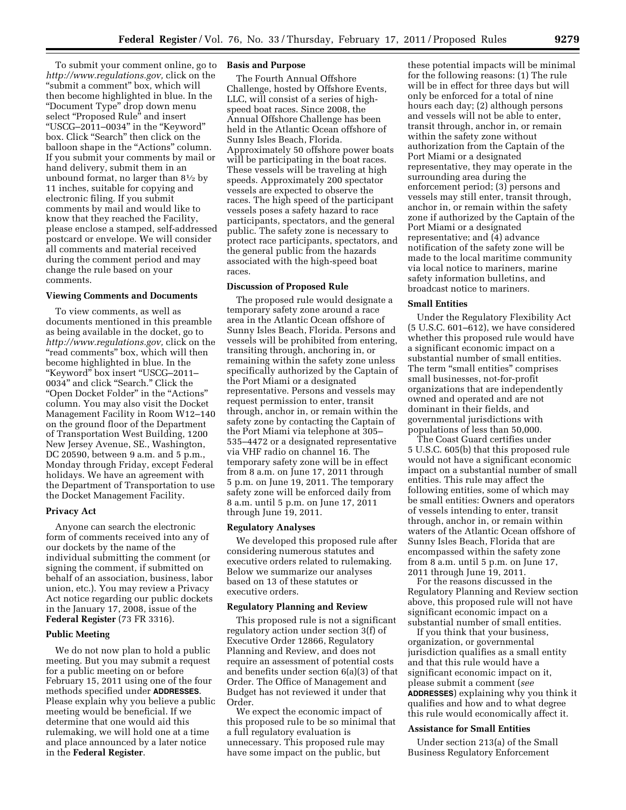To submit your comment online, go to *[http://www.regulations.gov,](http://www.regulations.gov)* click on the ''submit a comment'' box, which will then become highlighted in blue. In the ''Document Type'' drop down menu select "Proposed Rule" and insert ''USCG–2011–0034'' in the ''Keyword'' box. Click ''Search'' then click on the balloon shape in the ''Actions'' column. If you submit your comments by mail or hand delivery, submit them in an unbound format, no larger than  $8\frac{1}{2}$  by 11 inches, suitable for copying and electronic filing. If you submit comments by mail and would like to know that they reached the Facility, please enclose a stamped, self-addressed postcard or envelope. We will consider all comments and material received during the comment period and may change the rule based on your comments.

#### **Viewing Comments and Documents**

To view comments, as well as documents mentioned in this preamble as being available in the docket, go to *[http://www.regulations.gov,](http://www.regulations.gov)* click on the "read comments" box, which will then become highlighted in blue. In the ''Keyword'' box insert ''USCG–2011– 0034'' and click ''Search.'' Click the ''Open Docket Folder'' in the ''Actions'' column. You may also visit the Docket Management Facility in Room W12–140 on the ground floor of the Department of Transportation West Building, 1200 New Jersey Avenue, SE., Washington, DC 20590, between 9 a.m. and 5 p.m., Monday through Friday, except Federal holidays. We have an agreement with the Department of Transportation to use the Docket Management Facility.

#### **Privacy Act**

Anyone can search the electronic form of comments received into any of our dockets by the name of the individual submitting the comment (or signing the comment, if submitted on behalf of an association, business, labor union, etc.). You may review a Privacy Act notice regarding our public dockets in the January 17, 2008, issue of the **Federal Register** (73 FR 3316).

### **Public Meeting**

We do not now plan to hold a public meeting. But you may submit a request for a public meeting on or before February 15, 2011 using one of the four methods specified under **ADDRESSES**. Please explain why you believe a public meeting would be beneficial. If we determine that one would aid this rulemaking, we will hold one at a time and place announced by a later notice in the **Federal Register**.

### **Basis and Purpose**

The Fourth Annual Offshore Challenge, hosted by Offshore Events, LLC, will consist of a series of highspeed boat races. Since 2008, the Annual Offshore Challenge has been held in the Atlantic Ocean offshore of Sunny Isles Beach, Florida. Approximately 50 offshore power boats will be participating in the boat races. These vessels will be traveling at high speeds. Approximately 200 spectator vessels are expected to observe the races. The high speed of the participant vessels poses a safety hazard to race participants, spectators, and the general public. The safety zone is necessary to protect race participants, spectators, and the general public from the hazards associated with the high-speed boat races.

### **Discussion of Proposed Rule**

The proposed rule would designate a temporary safety zone around a race area in the Atlantic Ocean offshore of Sunny Isles Beach, Florida. Persons and vessels will be prohibited from entering, transiting through, anchoring in, or remaining within the safety zone unless specifically authorized by the Captain of the Port Miami or a designated representative. Persons and vessels may request permission to enter, transit through, anchor in, or remain within the safety zone by contacting the Captain of the Port Miami via telephone at 305– 535–4472 or a designated representative via VHF radio on channel 16. The temporary safety zone will be in effect from 8 a.m. on June 17, 2011 through 5 p.m. on June 19, 2011. The temporary safety zone will be enforced daily from 8 a.m. until 5 p.m. on June 17, 2011 through June 19, 2011.

#### **Regulatory Analyses**

We developed this proposed rule after considering numerous statutes and executive orders related to rulemaking. Below we summarize our analyses based on 13 of these statutes or executive orders.

### **Regulatory Planning and Review**

This proposed rule is not a significant regulatory action under section 3(f) of Executive Order 12866, Regulatory Planning and Review, and does not require an assessment of potential costs and benefits under section 6(a)(3) of that Order. The Office of Management and Budget has not reviewed it under that Order.

We expect the economic impact of this proposed rule to be so minimal that a full regulatory evaluation is unnecessary. This proposed rule may have some impact on the public, but

these potential impacts will be minimal for the following reasons: (1) The rule will be in effect for three days but will only be enforced for a total of nine hours each day; (2) although persons and vessels will not be able to enter, transit through, anchor in, or remain within the safety zone without authorization from the Captain of the Port Miami or a designated representative, they may operate in the surrounding area during the enforcement period; (3) persons and vessels may still enter, transit through, anchor in, or remain within the safety zone if authorized by the Captain of the Port Miami or a designated representative; and (4) advance notification of the safety zone will be made to the local maritime community via local notice to mariners, marine safety information bulletins, and broadcast notice to mariners.

#### **Small Entities**

Under the Regulatory Flexibility Act (5 U.S.C. 601–612), we have considered whether this proposed rule would have a significant economic impact on a substantial number of small entities. The term "small entities" comprises small businesses, not-for-profit organizations that are independently owned and operated and are not dominant in their fields, and governmental jurisdictions with populations of less than 50,000.

The Coast Guard certifies under 5 U.S.C. 605(b) that this proposed rule would not have a significant economic impact on a substantial number of small entities. This rule may affect the following entities, some of which may be small entities: Owners and operators of vessels intending to enter, transit through, anchor in, or remain within waters of the Atlantic Ocean offshore of Sunny Isles Beach, Florida that are encompassed within the safety zone from 8 a.m. until 5 p.m. on June 17, 2011 through June 19, 2011.

For the reasons discussed in the Regulatory Planning and Review section above, this proposed rule will not have significant economic impact on a substantial number of small entities.

If you think that your business, organization, or governmental jurisdiction qualifies as a small entity and that this rule would have a significant economic impact on it, please submit a comment (*see*  **ADDRESSES**) explaining why you think it qualifies and how and to what degree this rule would economically affect it.

## **Assistance for Small Entities**

Under section 213(a) of the Small Business Regulatory Enforcement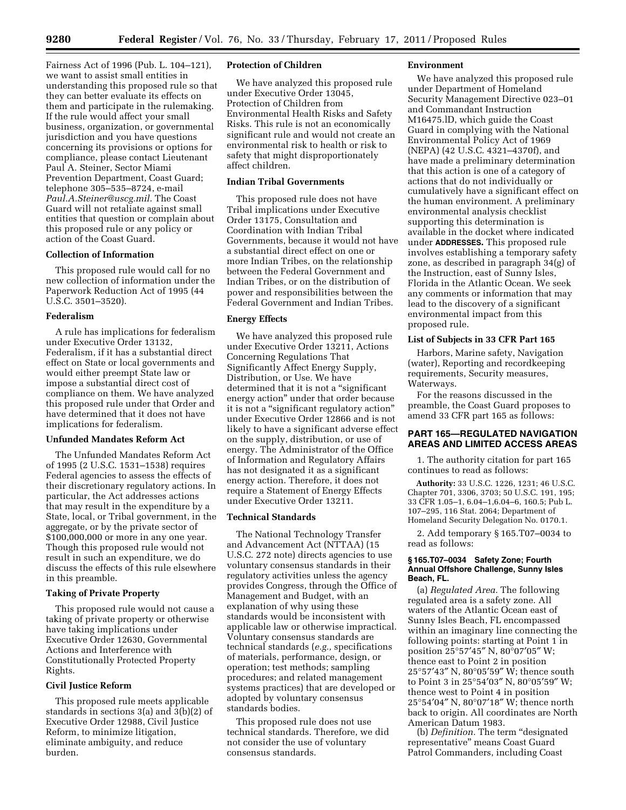Fairness Act of 1996 (Pub. L. 104–121), we want to assist small entities in understanding this proposed rule so that they can better evaluate its effects on them and participate in the rulemaking. If the rule would affect your small business, organization, or governmental jurisdiction and you have questions concerning its provisions or options for compliance, please contact Lieutenant Paul A. Steiner, Sector Miami Prevention Department, Coast Guard; telephone 305–535–8724, e-mail *[Paul.A.Steiner@uscg.mil.](mailto:Paul.A.Steiner@uscg.mil)* The Coast Guard will not retaliate against small entities that question or complain about this proposed rule or any policy or action of the Coast Guard.

# **Collection of Information**

This proposed rule would call for no new collection of information under the Paperwork Reduction Act of 1995 (44 U.S.C. 3501–3520).

#### **Federalism**

A rule has implications for federalism under Executive Order 13132, Federalism, if it has a substantial direct effect on State or local governments and would either preempt State law or impose a substantial direct cost of compliance on them. We have analyzed this proposed rule under that Order and have determined that it does not have implications for federalism.

# **Unfunded Mandates Reform Act**

The Unfunded Mandates Reform Act of 1995 (2 U.S.C. 1531–1538) requires Federal agencies to assess the effects of their discretionary regulatory actions. In particular, the Act addresses actions that may result in the expenditure by a State, local, or Tribal government, in the aggregate, or by the private sector of \$100,000,000 or more in any one year. Though this proposed rule would not result in such an expenditure, we do discuss the effects of this rule elsewhere in this preamble.

# **Taking of Private Property**

This proposed rule would not cause a taking of private property or otherwise have taking implications under Executive Order 12630, Governmental Actions and Interference with Constitutionally Protected Property Rights.

### **Civil Justice Reform**

This proposed rule meets applicable standards in sections 3(a) and 3(b)(2) of Executive Order 12988, Civil Justice Reform, to minimize litigation, eliminate ambiguity, and reduce burden.

## **Protection of Children**

We have analyzed this proposed rule under Executive Order 13045, Protection of Children from Environmental Health Risks and Safety Risks. This rule is not an economically significant rule and would not create an environmental risk to health or risk to safety that might disproportionately affect children.

# **Indian Tribal Governments**

This proposed rule does not have Tribal implications under Executive Order 13175, Consultation and Coordination with Indian Tribal Governments, because it would not have a substantial direct effect on one or more Indian Tribes, on the relationship between the Federal Government and Indian Tribes, or on the distribution of power and responsibilities between the Federal Government and Indian Tribes.

# **Energy Effects**

We have analyzed this proposed rule under Executive Order 13211, Actions Concerning Regulations That Significantly Affect Energy Supply, Distribution, or Use. We have determined that it is not a "significant energy action'' under that order because it is not a ''significant regulatory action'' under Executive Order 12866 and is not likely to have a significant adverse effect on the supply, distribution, or use of energy. The Administrator of the Office of Information and Regulatory Affairs has not designated it as a significant energy action. Therefore, it does not require a Statement of Energy Effects under Executive Order 13211.

### **Technical Standards**

The National Technology Transfer and Advancement Act (NTTAA) (15 U.S.C. 272 note) directs agencies to use voluntary consensus standards in their regulatory activities unless the agency provides Congress, through the Office of Management and Budget, with an explanation of why using these standards would be inconsistent with applicable law or otherwise impractical. Voluntary consensus standards are technical standards (*e.g.,* specifications of materials, performance, design, or operation; test methods; sampling procedures; and related management systems practices) that are developed or adopted by voluntary consensus standards bodies.

This proposed rule does not use technical standards. Therefore, we did not consider the use of voluntary consensus standards.

### **Environment**

We have analyzed this proposed rule under Department of Homeland Security Management Directive 023–01 and Commandant Instruction M16475.lD, which guide the Coast Guard in complying with the National Environmental Policy Act of 1969 (NEPA) (42 U.S.C. 4321–4370f), and have made a preliminary determination that this action is one of a category of actions that do not individually or cumulatively have a significant effect on the human environment. A preliminary environmental analysis checklist supporting this determination is available in the docket where indicated under **ADDRESSES.** This proposed rule involves establishing a temporary safety zone, as described in paragraph 34(g) of the Instruction, east of Sunny Isles, Florida in the Atlantic Ocean. We seek any comments or information that may lead to the discovery of a significant environmental impact from this proposed rule.

# **List of Subjects in 33 CFR Part 165**

Harbors, Marine safety, Navigation (water), Reporting and recordkeeping requirements, Security measures, Waterways.

For the reasons discussed in the preamble, the Coast Guard proposes to amend 33 CFR part 165 as follows:

# **PART 165—REGULATED NAVIGATION AREAS AND LIMITED ACCESS AREAS**

1. The authority citation for part 165 continues to read as follows:

**Authority:** 33 U.S.C. 1226, 1231; 46 U.S.C. Chapter 701, 3306, 3703; 50 U.S.C. 191, 195; 33 CFR 1.05–1, 6.04–1,6.04–6, 160.5; Pub L. 107–295, 116 Stat. 2064; Department of Homeland Security Delegation No. 0170.1.

2. Add temporary § 165.T07–0034 to read as follows:

### **§ 165.T07–0034 Safety Zone; Fourth Annual Offshore Challenge, Sunny Isles Beach, FL.**

(a) *Regulated Area.* The following regulated area is a safety zone. All waters of the Atlantic Ocean east of Sunny Isles Beach, FL encompassed within an imaginary line connecting the following points: starting at Point 1 in position 25°57′45″ N, 80°07′05″ W; thence east to Point 2 in position 25°57′43″ N, 80°05′59″ W; thence south to Point 3 in 25°54′03″ N, 80°05′59″ W; thence west to Point 4 in position 25°54′04″ N, 80°07′18″ W; thence north back to origin. All coordinates are North American Datum 1983.

(b) *Definition.* The term ''designated representative'' means Coast Guard Patrol Commanders, including Coast